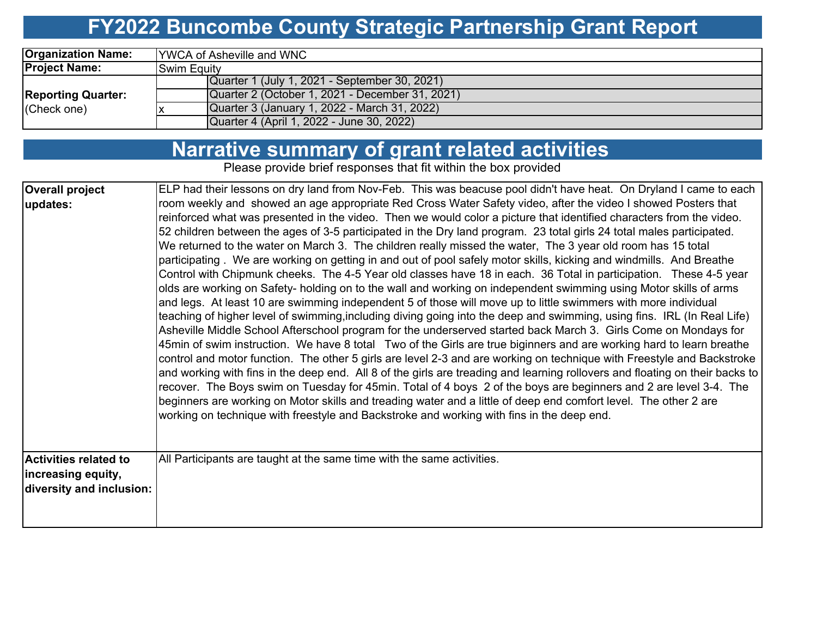# **FY2022 Buncombe County Strategic Partnership Grant Report**

| <b>Organization Name:</b> | <b>IYWCA of Asheville and WNC</b>               |  |  |  |  |  |
|---------------------------|-------------------------------------------------|--|--|--|--|--|
| <b>Project Name:</b>      | ISwim Eauitv                                    |  |  |  |  |  |
|                           | Quarter 1 (July 1, 2021 - September 30, 2021)   |  |  |  |  |  |
| <b>Reporting Quarter:</b> | Quarter 2 (October 1, 2021 - December 31, 2021) |  |  |  |  |  |
| (Check one)               | Quarter 3 (January 1, 2022 - March 31, 2022)    |  |  |  |  |  |
|                           | Quarter 4 (April 1, 2022 - June 30, 2022)       |  |  |  |  |  |

#### **Narrative summary of grant related activities**

Please provide brief responses that fit within the box provided

| <b>Overall project</b>                                                         | ELP had their lessons on dry land from Nov-Feb. This was beacuse pool didn't have heat. On Dryland I came to each                                                                                                                                                                                                                                                                                                                                                                                                                                                                                                                                                                                                                                                                                                                                                                                                                                                                                                                                                                                                                                                                                                                                                                                                                                                                                                                                                                                                                                                                                                                                                                                                                                                                                                                                                                                                                      |
|--------------------------------------------------------------------------------|----------------------------------------------------------------------------------------------------------------------------------------------------------------------------------------------------------------------------------------------------------------------------------------------------------------------------------------------------------------------------------------------------------------------------------------------------------------------------------------------------------------------------------------------------------------------------------------------------------------------------------------------------------------------------------------------------------------------------------------------------------------------------------------------------------------------------------------------------------------------------------------------------------------------------------------------------------------------------------------------------------------------------------------------------------------------------------------------------------------------------------------------------------------------------------------------------------------------------------------------------------------------------------------------------------------------------------------------------------------------------------------------------------------------------------------------------------------------------------------------------------------------------------------------------------------------------------------------------------------------------------------------------------------------------------------------------------------------------------------------------------------------------------------------------------------------------------------------------------------------------------------------------------------------------------------|
| updates:                                                                       | room weekly and showed an age appropriate Red Cross Water Safety video, after the video I showed Posters that<br>reinforced what was presented in the video. Then we would color a picture that identified characters from the video.<br>52 children between the ages of 3-5 participated in the Dry land program. 23 total girls 24 total males participated.<br>We returned to the water on March 3. The children really missed the water, The 3 year old room has 15 total<br>participating. We are working on getting in and out of pool safely motor skills, kicking and windmills. And Breathe<br>Control with Chipmunk cheeks. The 4-5 Year old classes have 18 in each. 36 Total in participation. These 4-5 year<br>olds are working on Safety- holding on to the wall and working on independent swimming using Motor skills of arms<br>and legs. At least 10 are swimming independent 5 of those will move up to little swimmers with more individual<br>teaching of higher level of swimming, including diving going into the deep and swimming, using fins. IRL (In Real Life)<br>Asheville Middle School Afterschool program for the underserved started back March 3. Girls Come on Mondays for<br>45min of swim instruction. We have 8 total Two of the Girls are true biginners and are working hard to learn breathe<br>control and motor function. The other 5 girls are level 2-3 and are working on technique with Freestyle and Backstroke<br>and working with fins in the deep end. All 8 of the girls are treading and learning rollovers and floating on their backs to<br>recover. The Boys swim on Tuesday for 45min. Total of 4 boys 2 of the boys are beginners and 2 are level 3-4. The<br>beginners are working on Motor skills and treading water and a little of deep end comfort level. The other 2 are<br>working on technique with freestyle and Backstroke and working with fins in the deep end. |
| <b>Activities related to</b><br>increasing equity,<br>diversity and inclusion: | All Participants are taught at the same time with the same activities.                                                                                                                                                                                                                                                                                                                                                                                                                                                                                                                                                                                                                                                                                                                                                                                                                                                                                                                                                                                                                                                                                                                                                                                                                                                                                                                                                                                                                                                                                                                                                                                                                                                                                                                                                                                                                                                                 |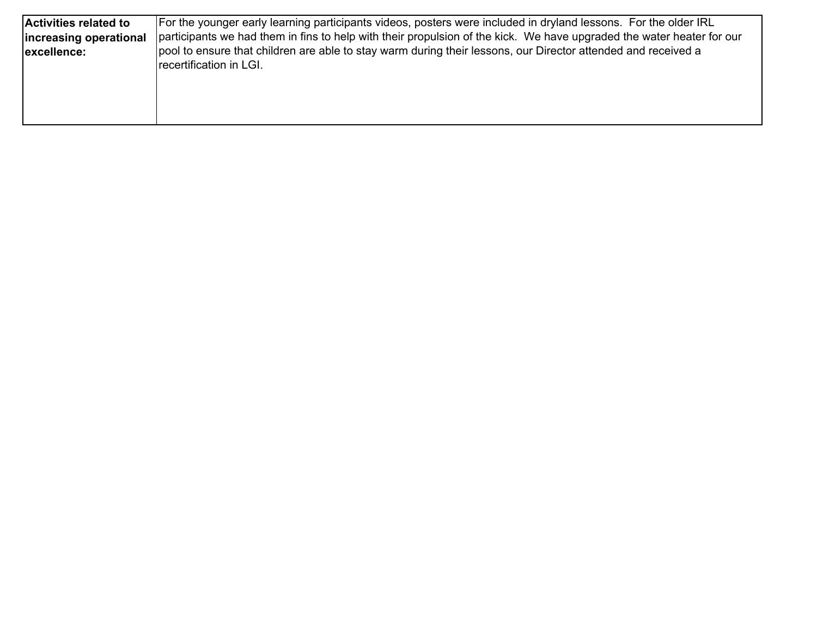| <b>Activities related to</b> | For the younger early learning participants videos, posters were included in dryland lessons. For the older IRL                          |
|------------------------------|------------------------------------------------------------------------------------------------------------------------------------------|
| increasing operational       | participants we had them in fins to help with their propulsion of the kick. We have upgraded the water heater for our                    |
| excellence:                  | pool to ensure that children are able to stay warm during their lessons, our Director attended and received a<br>recertification in LGI. |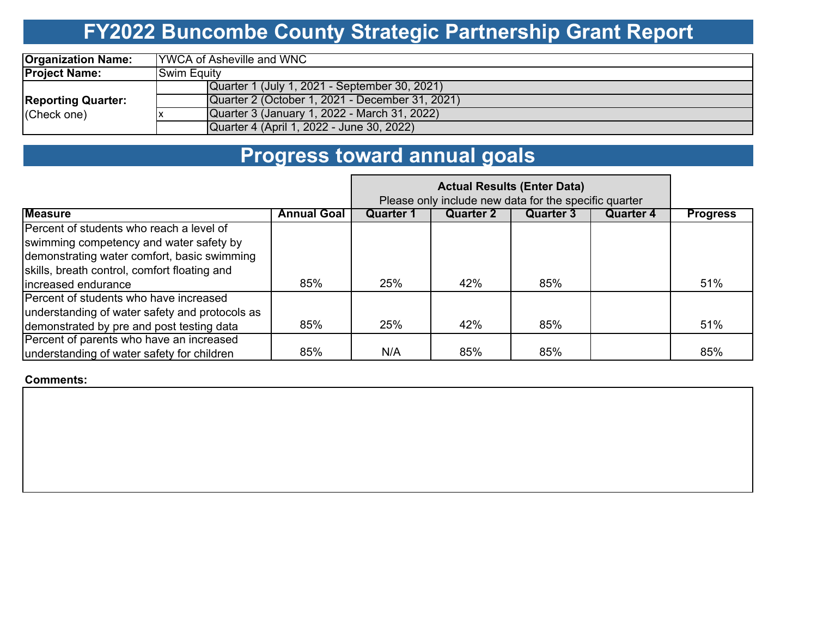# **FY2022 Buncombe County Strategic Partnership Grant Report**

| <b>Organization Name:</b> | <b>YWCA of Asheville and WNC</b>                |  |  |  |  |  |  |
|---------------------------|-------------------------------------------------|--|--|--|--|--|--|
| <b>Project Name:</b>      | <b>Swim Equity</b>                              |  |  |  |  |  |  |
|                           | Quarter 1 (July 1, 2021 - September 30, 2021)   |  |  |  |  |  |  |
| <b>Reporting Quarter:</b> | Quarter 2 (October 1, 2021 - December 31, 2021) |  |  |  |  |  |  |
| $ $ (Check one)           | Quarter 3 (January 1, 2022 - March 31, 2022)    |  |  |  |  |  |  |
|                           | Quarter 4 (April 1, 2022 - June 30, 2022)       |  |  |  |  |  |  |

### **Progress toward annual goals**

|                                                | Please only include new data for the specific quarter |                  |                  |           |                  |                 |
|------------------------------------------------|-------------------------------------------------------|------------------|------------------|-----------|------------------|-----------------|
| <b>Measure</b>                                 | <b>Annual Goal</b>                                    | <b>Quarter 1</b> | <b>Quarter 2</b> | Quarter 3 | <b>Quarter 4</b> | <b>Progress</b> |
| Percent of students who reach a level of       |                                                       |                  |                  |           |                  |                 |
| swimming competency and water safety by        |                                                       |                  |                  |           |                  |                 |
| demonstrating water comfort, basic swimming    |                                                       |                  |                  |           |                  |                 |
| skills, breath control, comfort floating and   |                                                       |                  |                  |           |                  |                 |
| lincreased endurance                           | 85%                                                   | 25%              | 42%              | 85%       |                  | 51%             |
| Percent of students who have increased         |                                                       |                  |                  |           |                  |                 |
| understanding of water safety and protocols as |                                                       |                  |                  |           |                  |                 |
| demonstrated by pre and post testing data      | 85%                                                   | 25%              | 42%              | 85%       |                  | 51%             |
| Percent of parents who have an increased       |                                                       |                  |                  |           |                  |                 |
| understanding of water safety for children     | 85%                                                   | N/A              | 85%              | 85%       |                  | 85%             |

**Comments:**